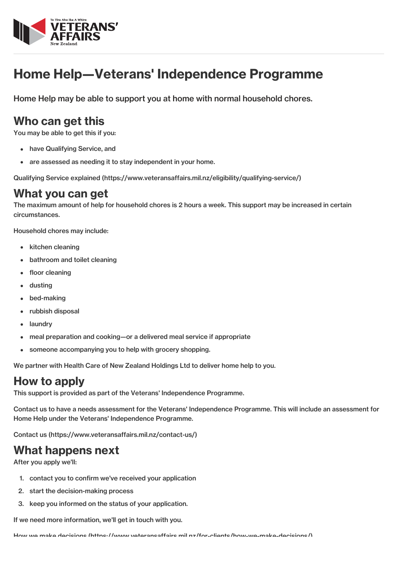

# Home Help—Veterans' Independence Programme

Home Help may be able to support you at home with normal household chores.

## Who can get this

You may be able to get this if you:

- have Qualifying Service, and
- are assessed as needing it to stay independent in your home.

Qualifying Service explained [\(https://www.veteransaffairs.mil.nz/eligibility/qualifying-service/\)](http://veteransaffairs.mil.nz/eligibility/qualifying-service/)

#### What you can get

The maximum amount of help for household chores is 2 hours a week. This support may be increased in certain circumstances.

Household chores may include:

- kitchen cleaning
- bathroom and toilet cleaning
- floor cleaning
- dusting
- bed-making
- rubbish disposal
- laundry
- meal preparation and cooking—or a delivered meal service if appropriate
- someone accompanying you to help with grocery shopping.

We partner with Health Care of New Zealand Holdings Ltd to deliver home help to you.

## How to apply

This support is provided as part of the Veterans' Independence Programme.

Contact us to have a needs assessment for the Veterans' Independence Programme. This will include an assessment for Home Help under the Veterans' Independence Programme.

Contact us [\(https://www.veteransaffairs.mil.nz/contact-us/\)](http://veteransaffairs.mil.nz/contact-us/)

#### What happens next

After you apply we'll:

- 1. contact you to confirm we've received your application
- 2. start the decision-making process
- 3. keep you informed on the status of your application.

If we need more information, we'll get in touch with you.